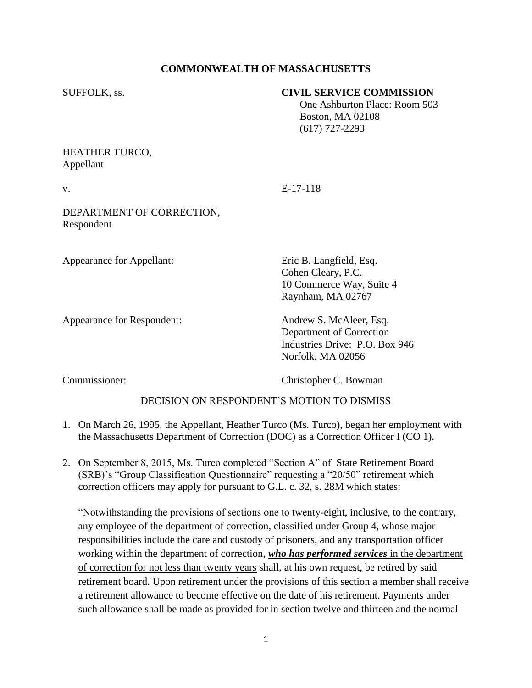# **COMMONWEALTH OF MASSACHUSETTS**

## SUFFOLK, ss. **CIVIL SERVICE COMMISSION**

 One Ashburton Place: Room 503 Boston, MA 02108 (617) 727-2293

# HEATHER TURCO, Appellant

v. E-17-118

DEPARTMENT OF CORRECTION, Respondent

Appearance for Appellant: Eric B. Langfield, Esq.

Appearance for Respondent: Andrew S. McAleer, Esq.

Cohen Cleary, P.C. 10 Commerce Way, Suite 4 Raynham, MA 02767

Department of Correction Industries Drive: P.O. Box 946 Norfolk, MA 02056

Commissioner: Christopher C. Bowman

# DECISION ON RESPONDENT'S MOTION TO DISMISS

- 1. On March 26, 1995, the Appellant, Heather Turco (Ms. Turco), began her employment with the Massachusetts Department of Correction (DOC) as a Correction Officer I (CO 1).
- 2. On September 8, 2015, Ms. Turco completed "Section A" of State Retirement Board (SRB)'s "Group Classification Questionnaire" requesting a "20/50" retirement which correction officers may apply for pursuant to G.L. c. 32, s. 28M which states:

"Notwithstanding the provisions of sections one to twenty-eight, inclusive, to the contrary, any employee of the department of correction, classified under Group 4, whose major responsibilities include the care and custody of prisoners, and any transportation officer working within the department of correction, *who has performed services* in the department of correction for not less than twenty years shall, at his own request, be retired by said retirement board. Upon retirement under the provisions of this section a member shall receive a retirement allowance to become effective on the date of his retirement. Payments under such allowance shall be made as provided for in section twelve and thirteen and the normal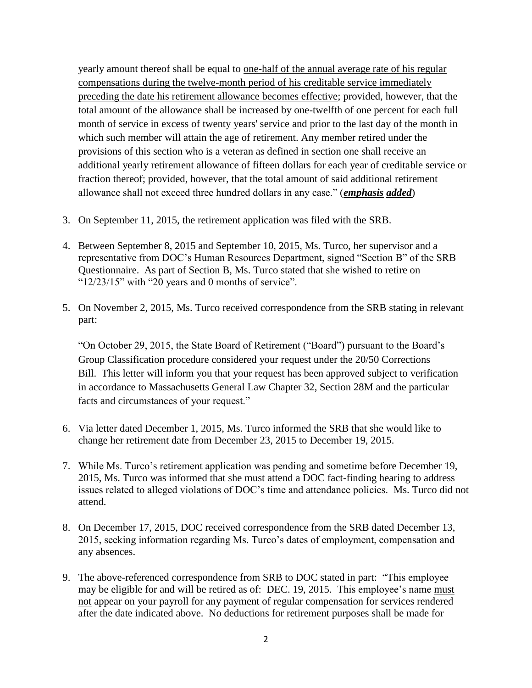yearly amount thereof shall be equal to <u>one-half of the annual average rate of his regular</u> compensations during the twelve-month period of his creditable service immediately preceding the date his retirement allowance becomes effective; provided, however, that the total amount of the allowance shall be increased by one-twelfth of one percent for each full month of service in excess of twenty years' service and prior to the last day of the month in which such member will attain the age of retirement. Any member retired under the provisions of this section who is a veteran as defined in section one shall receive an additional yearly retirement allowance of fifteen dollars for each year of creditable service or fraction thereof; provided, however, that the total amount of said additional retirement allowance shall not exceed three hundred dollars in any case." (*emphasis added*)

- 3. On September 11, 2015, the retirement application was filed with the SRB.
- 4. Between September 8, 2015 and September 10, 2015, Ms. Turco, her supervisor and a representative from DOC's Human Resources Department, signed "Section B" of the SRB Questionnaire. As part of Section B, Ms. Turco stated that she wished to retire on " $12/23/15$ " with "20 years and 0 months of service".
- 5. On November 2, 2015, Ms. Turco received correspondence from the SRB stating in relevant part:

"On October 29, 2015, the State Board of Retirement ("Board") pursuant to the Board's Group Classification procedure considered your request under the 20/50 Corrections Bill. This letter will inform you that your request has been approved subject to verification in accordance to Massachusetts General Law Chapter 32, Section 28M and the particular facts and circumstances of your request."

- 6. Via letter dated December 1, 2015, Ms. Turco informed the SRB that she would like to change her retirement date from December 23, 2015 to December 19, 2015.
- 7. While Ms. Turco's retirement application was pending and sometime before December 19, 2015, Ms. Turco was informed that she must attend a DOC fact-finding hearing to address issues related to alleged violations of DOC's time and attendance policies. Ms. Turco did not attend.
- 8. On December 17, 2015, DOC received correspondence from the SRB dated December 13, 2015, seeking information regarding Ms. Turco's dates of employment, compensation and any absences.
- 9. The above-referenced correspondence from SRB to DOC stated in part: "This employee may be eligible for and will be retired as of: DEC. 19, 2015. This employee's name must not appear on your payroll for any payment of regular compensation for services rendered after the date indicated above. No deductions for retirement purposes shall be made for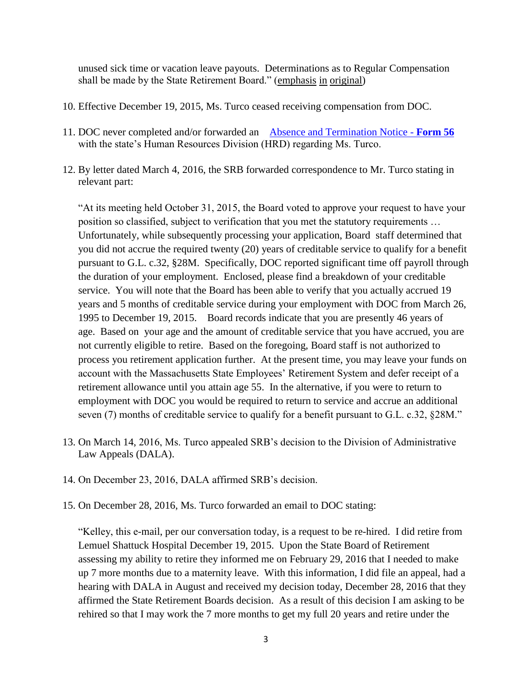unused sick time or vacation leave payouts. Determinations as to Regular Compensation shall be made by the State Retirement Board." (emphasis in original)

- 10. Effective December 19, 2015, Ms. Turco ceased receiving compensation from DOC.
- 11. DOC never completed and/or forwarded an [Absence and Termination Notice -](http://www.mass.gov/anf/docs/hrd/cs/forms/cs-form56.docx) **Form 56** with the state's Human Resources Division (HRD) regarding Ms. Turco.
- 12. By letter dated March 4, 2016, the SRB forwarded correspondence to Mr. Turco stating in relevant part:

"At its meeting held October 31, 2015, the Board voted to approve your request to have your position so classified, subject to verification that you met the statutory requirements … Unfortunately, while subsequently processing your application, Board staff determined that you did not accrue the required twenty (20) years of creditable service to qualify for a benefit pursuant to G.L. c.32, §28M. Specifically, DOC reported significant time off payroll through the duration of your employment. Enclosed, please find a breakdown of your creditable service. You will note that the Board has been able to verify that you actually accrued 19 years and 5 months of creditable service during your employment with DOC from March 26, 1995 to December 19, 2015. Board records indicate that you are presently 46 years of age. Based on your age and the amount of creditable service that you have accrued, you are not currently eligible to retire. Based on the foregoing, Board staff is not authorized to process you retirement application further. At the present time, you may leave your funds on account with the Massachusetts State Employees' Retirement System and defer receipt of a retirement allowance until you attain age 55. In the alternative, if you were to return to employment with DOC you would be required to return to service and accrue an additional seven (7) months of creditable service to qualify for a benefit pursuant to G.L. c.32, §28M."

- 13. On March 14, 2016, Ms. Turco appealed SRB's decision to the Division of Administrative Law Appeals (DALA).
- 14. On December 23, 2016, DALA affirmed SRB's decision.
- 15. On December 28, 2016, Ms. Turco forwarded an email to DOC stating:

"Kelley, this e-mail, per our conversation today, is a request to be re-hired. I did retire from Lemuel Shattuck Hospital December 19, 2015. Upon the State Board of Retirement assessing my ability to retire they informed me on February 29, 2016 that I needed to make up 7 more months due to a maternity leave. With this information, I did file an appeal, had a hearing with DALA in August and received my decision today, December 28, 2016 that they affirmed the State Retirement Boards decision. As a result of this decision I am asking to be rehired so that I may work the 7 more months to get my full 20 years and retire under the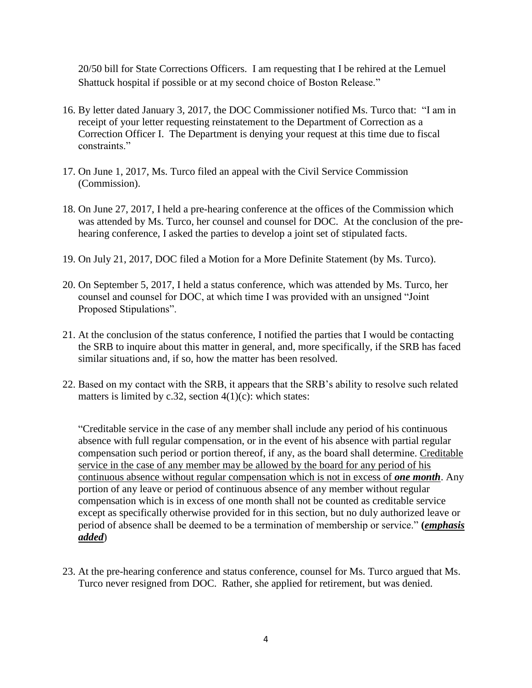20/50 bill for State Corrections Officers. I am requesting that I be rehired at the Lemuel Shattuck hospital if possible or at my second choice of Boston Release."

- 16. By letter dated January 3, 2017, the DOC Commissioner notified Ms. Turco that: "I am in receipt of your letter requesting reinstatement to the Department of Correction as a Correction Officer I. The Department is denying your request at this time due to fiscal constraints."
- 17. On June 1, 2017, Ms. Turco filed an appeal with the Civil Service Commission (Commission).
- 18. On June 27, 2017, I held a pre-hearing conference at the offices of the Commission which was attended by Ms. Turco, her counsel and counsel for DOC. At the conclusion of the prehearing conference, I asked the parties to develop a joint set of stipulated facts.
- 19. On July 21, 2017, DOC filed a Motion for a More Definite Statement (by Ms. Turco).
- 20. On September 5, 2017, I held a status conference, which was attended by Ms. Turco, her counsel and counsel for DOC, at which time I was provided with an unsigned "Joint Proposed Stipulations".
- 21. At the conclusion of the status conference, I notified the parties that I would be contacting the SRB to inquire about this matter in general, and, more specifically, if the SRB has faced similar situations and, if so, how the matter has been resolved.
- 22. Based on my contact with the SRB, it appears that the SRB's ability to resolve such related matters is limited by c.32, section  $4(1)(c)$ : which states:

"Creditable service in the case of any member shall include any period of his continuous absence with full regular compensation, or in the event of his absence with partial regular compensation such period or portion thereof, if any, as the board shall determine. Creditable service in the case of any member may be allowed by the board for any period of his continuous absence without regular compensation which is not in excess of *one month*. Any portion of any leave or period of continuous absence of any member without regular compensation which is in excess of one month shall not be counted as creditable service except as specifically otherwise provided for in this section, but no duly authorized leave or period of absence shall be deemed to be a termination of membership or service." **(***emphasis added*)

23. At the pre-hearing conference and status conference, counsel for Ms. Turco argued that Ms. Turco never resigned from DOC. Rather, she applied for retirement, but was denied.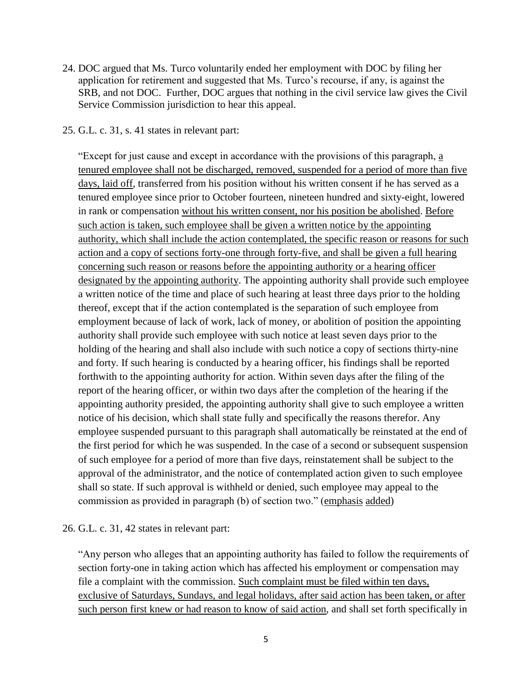- 24. DOC argued that Ms. Turco voluntarily ended her employment with DOC by filing her application for retirement and suggested that Ms. Turco's recourse, if any, is against the SRB, and not DOC. Further, DOC argues that nothing in the civil service law gives the Civil Service Commission jurisdiction to hear this appeal.
- 25. G.L. c. 31, s. 41 states in relevant part:

"Except for just cause and except in accordance with the provisions of this paragraph, a tenured employee shall not be discharged, removed, suspended for a period of more than five days, laid off, transferred from his position without his written consent if he has served as a tenured employee since prior to October fourteen, nineteen hundred and sixty-eight, lowered in rank or compensation without his written consent, nor his position be abolished. Before such action is taken, such employee shall be given a written notice by the appointing authority, which shall include the action contemplated, the specific reason or reasons for such action and a copy of sections forty-one through forty-five, and shall be given a full hearing concerning such reason or reasons before the appointing authority or a hearing officer designated by the appointing authority. The appointing authority shall provide such employee a written notice of the time and place of such hearing at least three days prior to the holding thereof, except that if the action contemplated is the separation of such employee from employment because of lack of work, lack of money, or abolition of position the appointing authority shall provide such employee with such notice at least seven days prior to the holding of the hearing and shall also include with such notice a copy of sections thirty-nine and forty. If such hearing is conducted by a hearing officer, his findings shall be reported forthwith to the appointing authority for action. Within seven days after the filing of the report of the hearing officer, or within two days after the completion of the hearing if the appointing authority presided, the appointing authority shall give to such employee a written notice of his decision, which shall state fully and specifically the reasons therefor. Any employee suspended pursuant to this paragraph shall automatically be reinstated at the end of the first period for which he was suspended. In the case of a second or subsequent suspension of such employee for a period of more than five days, reinstatement shall be subject to the approval of the administrator, and the notice of contemplated action given to such employee shall so state. If such approval is withheld or denied, such employee may appeal to the commission as provided in paragraph (b) of section two." (emphasis added)

## 26. G.L. c. 31, 42 states in relevant part:

"Any person who alleges that an appointing authority has failed to follow the requirements of section forty-one in taking action which has affected his employment or compensation may file a complaint with the commission. Such complaint must be filed within ten days, exclusive of Saturdays, Sundays, and legal holidays, after said action has been taken, or after such person first knew or had reason to know of said action, and shall set forth specifically in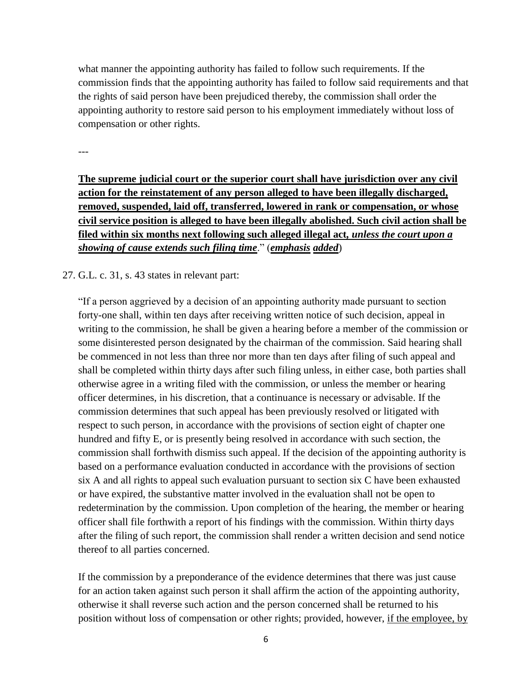what manner the appointing authority has failed to follow such requirements. If the commission finds that the appointing authority has failed to follow said requirements and that the rights of said person have been prejudiced thereby, the commission shall order the appointing authority to restore said person to his employment immediately without loss of compensation or other rights.

---

**The supreme judicial court or the superior court shall have jurisdiction over any civil action for the reinstatement of any person alleged to have been illegally discharged, removed, suspended, laid off, transferred, lowered in rank or compensation, or whose civil service position is alleged to have been illegally abolished. Such civil action shall be filed within six months next following such alleged illegal act***, unless the court upon a showing of cause extends such filing time*." (*emphasis added*)

# 27. G.L. c. 31, s. 43 states in relevant part:

"If a person aggrieved by a decision of an appointing authority made pursuant to section forty-one shall, within ten days after receiving written notice of such decision, appeal in writing to the commission, he shall be given a hearing before a member of the commission or some disinterested person designated by the chairman of the commission. Said hearing shall be commenced in not less than three nor more than ten days after filing of such appeal and shall be completed within thirty days after such filing unless, in either case, both parties shall otherwise agree in a writing filed with the commission, or unless the member or hearing officer determines, in his discretion, that a continuance is necessary or advisable. If the commission determines that such appeal has been previously resolved or litigated with respect to such person, in accordance with the provisions of section eight of chapter one hundred and fifty E, or is presently being resolved in accordance with such section, the commission shall forthwith dismiss such appeal. If the decision of the appointing authority is based on a performance evaluation conducted in accordance with the provisions of section six A and all rights to appeal such evaluation pursuant to section six C have been exhausted or have expired, the substantive matter involved in the evaluation shall not be open to redetermination by the commission. Upon completion of the hearing, the member or hearing officer shall file forthwith a report of his findings with the commission. Within thirty days after the filing of such report, the commission shall render a written decision and send notice thereof to all parties concerned.

If the commission by a preponderance of the evidence determines that there was just cause for an action taken against such person it shall affirm the action of the appointing authority, otherwise it shall reverse such action and the person concerned shall be returned to his position without loss of compensation or other rights; provided, however, if the employee, by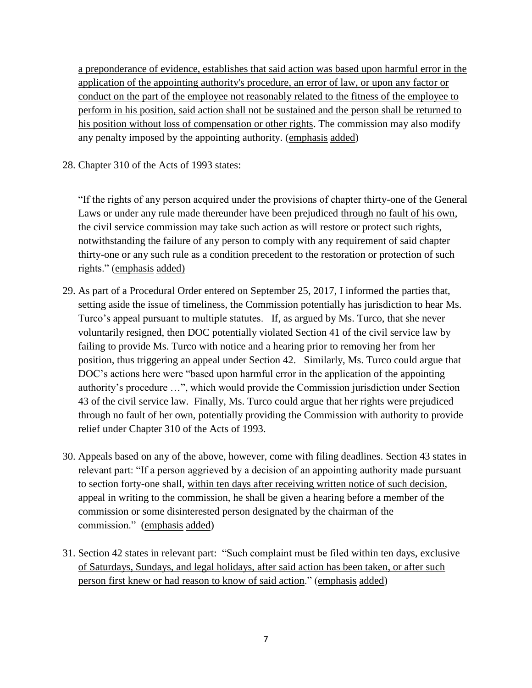a preponderance of evidence, establishes that said action was based upon harmful error in the application of the appointing authority's procedure, an error of law, or upon any factor or conduct on the part of the employee not reasonably related to the fitness of the employee to perform in his position, said action shall not be sustained and the person shall be returned to his position without loss of compensation or other rights. The commission may also modify any penalty imposed by the appointing authority. (emphasis added)

28. Chapter 310 of the Acts of 1993 states:

"If the rights of any person acquired under the provisions of chapter thirty-one of the General Laws or under any rule made thereunder have been prejudiced through no fault of his own, the civil service commission may take such action as will restore or protect such rights, notwithstanding the failure of any person to comply with any requirement of said chapter thirty-one or any such rule as a condition precedent to the restoration or protection of such rights." (emphasis added)

- 29. As part of a Procedural Order entered on September 25, 2017, I informed the parties that, setting aside the issue of timeliness, the Commission potentially has jurisdiction to hear Ms. Turco's appeal pursuant to multiple statutes. If, as argued by Ms. Turco, that she never voluntarily resigned, then DOC potentially violated Section 41 of the civil service law by failing to provide Ms. Turco with notice and a hearing prior to removing her from her position, thus triggering an appeal under Section 42. Similarly, Ms. Turco could argue that DOC's actions here were "based upon harmful error in the application of the appointing authority's procedure …", which would provide the Commission jurisdiction under Section 43 of the civil service law. Finally, Ms. Turco could argue that her rights were prejudiced through no fault of her own, potentially providing the Commission with authority to provide relief under Chapter 310 of the Acts of 1993.
- 30. Appeals based on any of the above, however, come with filing deadlines. Section 43 states in relevant part: "If a person aggrieved by a decision of an appointing authority made pursuant to section forty-one shall, within ten days after receiving written notice of such decision, appeal in writing to the commission, he shall be given a hearing before a member of the commission or some disinterested person designated by the chairman of the commission." (emphasis added)
- 31. Section 42 states in relevant part: "Such complaint must be filed within ten days, exclusive of Saturdays, Sundays, and legal holidays, after said action has been taken, or after such person first knew or had reason to know of said action." (emphasis added)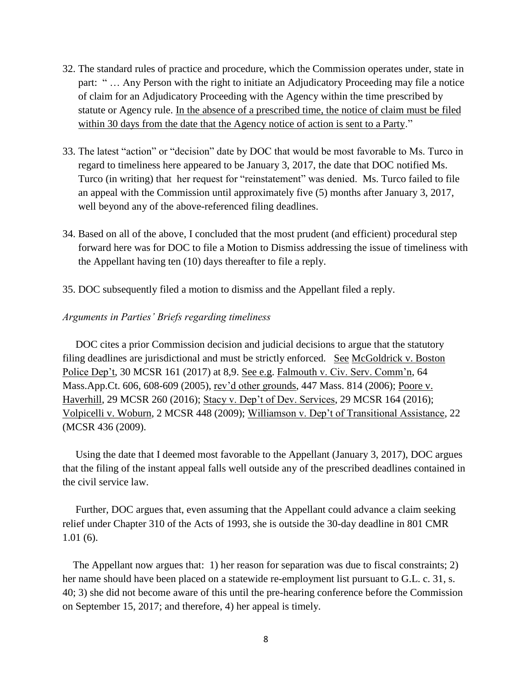- 32. The standard rules of practice and procedure, which the Commission operates under, state in part: " … Any Person with the right to initiate an Adjudicatory Proceeding may file a notice of claim for an Adjudicatory Proceeding with the Agency within the time prescribed by statute or Agency rule. In the absence of a prescribed time, the notice of claim must be filed within 30 days from the date that the Agency notice of action is sent to a Party."
- 33. The latest "action" or "decision" date by DOC that would be most favorable to Ms. Turco in regard to timeliness here appeared to be January 3, 2017, the date that DOC notified Ms. Turco (in writing) that her request for "reinstatement" was denied. Ms. Turco failed to file an appeal with the Commission until approximately five (5) months after January 3, 2017, well beyond any of the above-referenced filing deadlines.
- 34. Based on all of the above, I concluded that the most prudent (and efficient) procedural step forward here was for DOC to file a Motion to Dismiss addressing the issue of timeliness with the Appellant having ten (10) days thereafter to file a reply.
- 35. DOC subsequently filed a motion to dismiss and the Appellant filed a reply.

### *Arguments in Parties' Briefs regarding timeliness*

 DOC cites a prior Commission decision and judicial decisions to argue that the statutory filing deadlines are jurisdictional and must be strictly enforced. See McGoldrick v. Boston Police Dep't, 30 MCSR 161 (2017) at 8,9. See e.g. Falmouth v. Civ. Serv. Comm'n, 64 Mass.App.Ct. 606, 608-609 (2005), rev'd other grounds, 447 Mass. 814 (2006); Poore v. Haverhill, 29 MCSR 260 (2016); Stacy v. Dep't of Dev. Services, 29 MCSR 164 (2016); Volpicelli v. Woburn, 2 MCSR 448 (2009); Williamson v. Dep't of Transitional Assistance, 22 (MCSR 436 (2009).

 Using the date that I deemed most favorable to the Appellant (January 3, 2017), DOC argues that the filing of the instant appeal falls well outside any of the prescribed deadlines contained in the civil service law.

 Further, DOC argues that, even assuming that the Appellant could advance a claim seeking relief under Chapter 310 of the Acts of 1993, she is outside the 30-day deadline in 801 CMR 1.01 (6).

 The Appellant now argues that: 1) her reason for separation was due to fiscal constraints; 2) her name should have been placed on a statewide re-employment list pursuant to G.L. c. 31, s. 40; 3) she did not become aware of this until the pre-hearing conference before the Commission on September 15, 2017; and therefore, 4) her appeal is timely.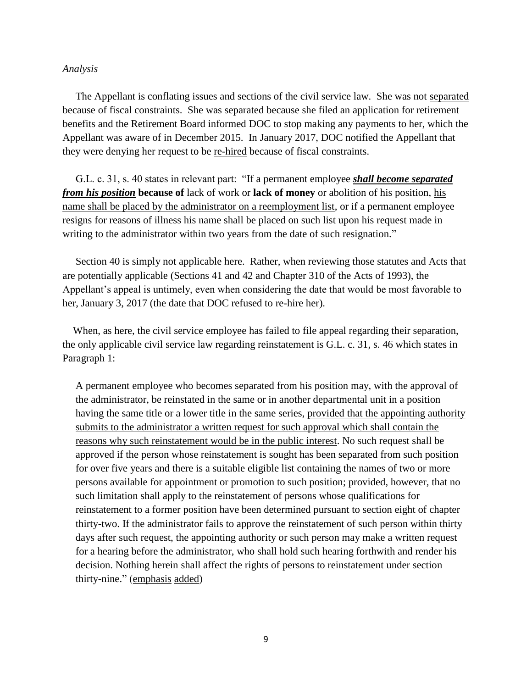#### *Analysis*

 The Appellant is conflating issues and sections of the civil service law. She was not separated because of fiscal constraints. She was separated because she filed an application for retirement benefits and the Retirement Board informed DOC to stop making any payments to her, which the Appellant was aware of in December 2015. In January 2017, DOC notified the Appellant that they were denying her request to be re-hired because of fiscal constraints.

 G.L. c. 31, s. 40 states in relevant part: "If a permanent employee *shall become separated from his position* **because of** lack of work or **lack of money** or abolition of his position, his name shall be placed by the administrator on a reemployment list, or if a permanent employee resigns for reasons of illness his name shall be placed on such list upon his request made in writing to the administrator within two years from the date of such resignation."

 Section 40 is simply not applicable here. Rather, when reviewing those statutes and Acts that are potentially applicable (Sections 41 and 42 and Chapter 310 of the Acts of 1993), the Appellant's appeal is untimely, even when considering the date that would be most favorable to her, January 3, 2017 (the date that DOC refused to re-hire her).

 When, as here, the civil service employee has failed to file appeal regarding their separation, the only applicable civil service law regarding reinstatement is G.L. c. 31, s. 46 which states in Paragraph 1:

A permanent employee who becomes separated from his position may, with the approval of the administrator, be reinstated in the same or in another departmental unit in a position having the same title or a lower title in the same series, provided that the appointing authority submits to the administrator a written request for such approval which shall contain the reasons why such reinstatement would be in the public interest. No such request shall be approved if the person whose reinstatement is sought has been separated from such position for over five years and there is a suitable eligible list containing the names of two or more persons available for appointment or promotion to such position; provided, however, that no such limitation shall apply to the reinstatement of persons whose qualifications for reinstatement to a former position have been determined pursuant to section eight of chapter thirty-two. If the administrator fails to approve the reinstatement of such person within thirty days after such request, the appointing authority or such person may make a written request for a hearing before the administrator, who shall hold such hearing forthwith and render his decision. Nothing herein shall affect the rights of persons to reinstatement under section thirty-nine." (emphasis added)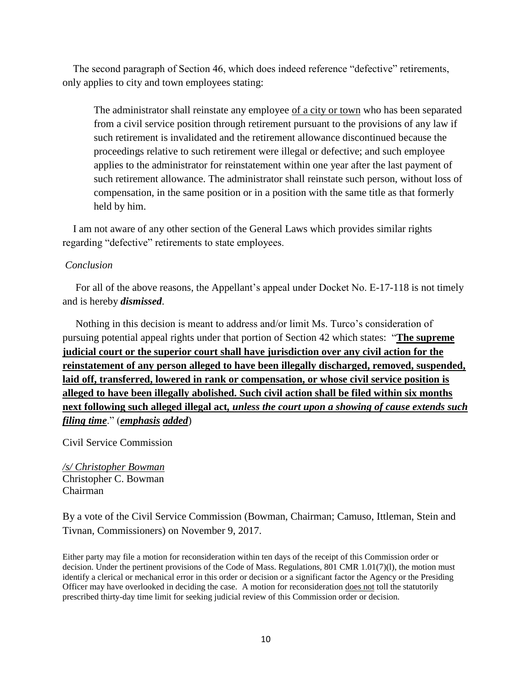The second paragraph of Section 46, which does indeed reference "defective" retirements, only applies to city and town employees stating:

The administrator shall reinstate any employee of a city or town who has been separated from a civil service position through retirement pursuant to the provisions of any law if such retirement is invalidated and the retirement allowance discontinued because the proceedings relative to such retirement were illegal or defective; and such employee applies to the administrator for reinstatement within one year after the last payment of such retirement allowance. The administrator shall reinstate such person, without loss of compensation, in the same position or in a position with the same title as that formerly held by him.

 I am not aware of any other section of the General Laws which provides similar rights regarding "defective" retirements to state employees.

## *Conclusion*

 For all of the above reasons, the Appellant's appeal under Docket No. E-17-118 is not timely and is hereby *dismissed*.

 Nothing in this decision is meant to address and/or limit Ms. Turco's consideration of pursuing potential appeal rights under that portion of Section 42 which states: "**The supreme judicial court or the superior court shall have jurisdiction over any civil action for the reinstatement of any person alleged to have been illegally discharged, removed, suspended, laid off, transferred, lowered in rank or compensation, or whose civil service position is alleged to have been illegally abolished. Such civil action shall be filed within six months next following such alleged illegal act***, unless the court upon a showing of cause extends such filing time*." (*emphasis added*)

Civil Service Commission

*/s/ Christopher Bowman* Christopher C. Bowman Chairman

By a vote of the Civil Service Commission (Bowman, Chairman; Camuso, Ittleman, Stein and Tivnan, Commissioners) on November 9, 2017.

Either party may file a motion for reconsideration within ten days of the receipt of this Commission order or decision. Under the pertinent provisions of the Code of Mass. Regulations, 801 CMR 1.01(7)(l), the motion must identify a clerical or mechanical error in this order or decision or a significant factor the Agency or the Presiding Officer may have overlooked in deciding the case. A motion for reconsideration does not toll the statutorily prescribed thirty-day time limit for seeking judicial review of this Commission order or decision.